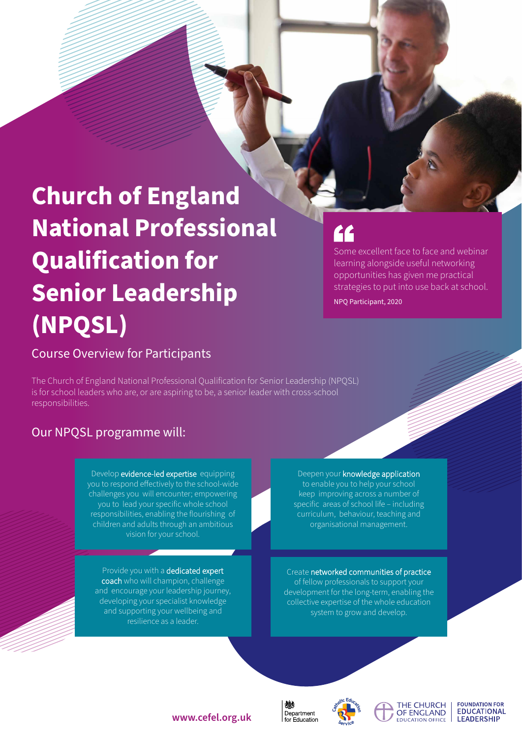# **Church of England National Professional Qualification for Senior Leadership (NPQSL)**

# Course Overview for Participants

The Church of England National Professional Qualification for Senior Leadership (NPQSL) is for school leaders who are, or are aspiring to be, a senior leader with cross-school responsibilities.

# Our NPQSL programme will:

Develop evidence-led expertise equipping you to respond effectively to the school-wide challenges you will encounter; empowering you to lead your specific whole school responsibilities, enabling the flourishing of children and adults through an ambitious vision for your school.

Provide you with a dedicated expert coach who will champion, challenge and encourage your leadership journey, developing your specialist knowledge and supporting your wellbeing and resilience as a leader.

#### Deepen your knowledge application to enable you to help your school keep improving across a number of specific areas of school life – including curriculum, behaviour, teaching and organisational management.

Create networked communities of practice of fellow professionals to support your development for the long-term, enabling the collective expertise of the whole education system to grow and develop.



抛





**FOUNDATION FOR EDUCATIONAL LEADERSHIP** 

### **www.cefel.org.uk**

# <u>re</u>

Some excellent face to face and webinar learning alongside useful networking opportunities has given me practical strategies to put into use back at school.

NPQ Participant, 2020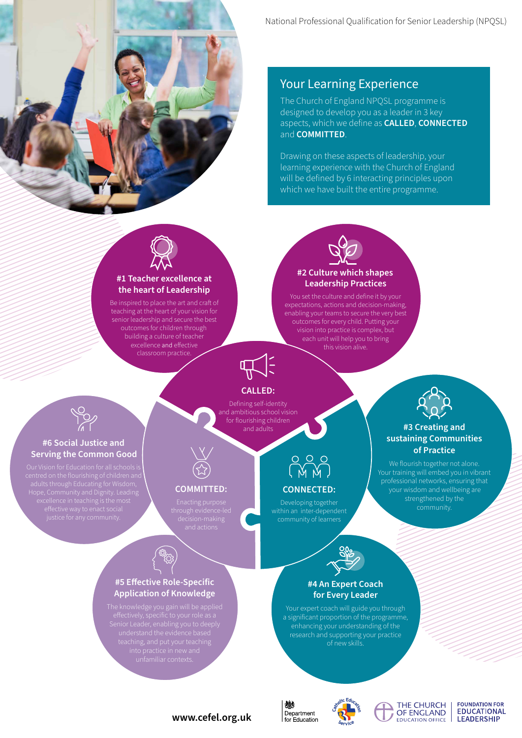

# Your Learning Experience

The Church of England NPQSL programme is designed to develop you as a leader in 3 key aspects, which we define as **CALLED**, **CONNECTED** and **COMMITTED**.

Drawing on these aspects of leadership, your learning experience with the Church of England will be defined by 6 interacting principles upon which we have built the entire programme.



#### **#1 Teacher excellence at the heart of Leadership**

Be inspired to place the art and craft of teaching at the heart of your vision for senior leadership and secure the best outcomes for children through building a culture of teacher excellence and effective classroom practice.



You set the culture and define it by your expectations, actions and decision-making, enabling your teams to secure the very best outcomes for every child. Putting your vision into practice is complex, but each unit will help you to bring this vision alive.



## **CALLED:**

Defining self-identity and ambitious school vision for flourishing children and adults



**#3 Creating and sustaining Communities of Practice** We flourish together not alone. Your training will embed you in vibrant professional networks, ensuring that your wisdom and wellbeing are strengthened by the community.

#### **#6 Social Justice and Serving the Common Good**



#### **COMMITTED:**

**#5 Effective Role-Specific Application of Knowledge**

# **CONNECTED:**

Developing together within an inter-dependent



### **#4 An Expert Coach for Every Leader**

Your expert coach will guide you through a significant proportion of the programme, enhancing your understanding of the research and supporting your practice of new skills.







#### **FOUNDATION FOR EDUCATIONAL LEADERSHIP**

## **www.cefel.org.uk**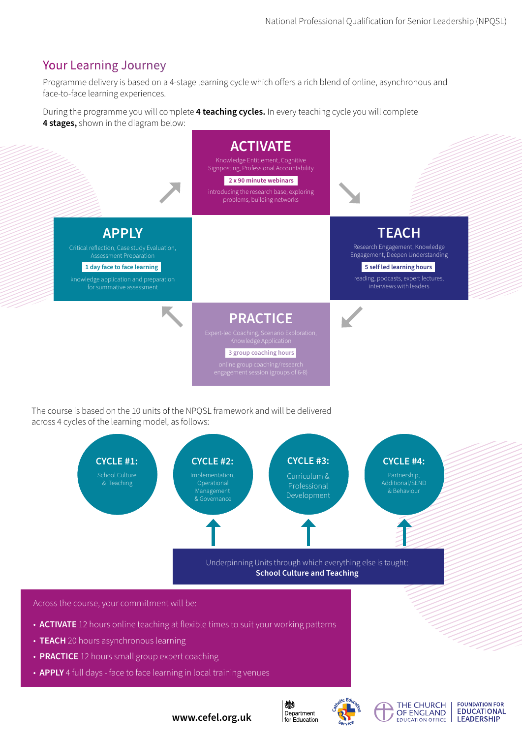# Your Learning Journey

Programme delivery is based on a 4-stage learning cycle which offers a rich blend of online, asynchronous and face-to-face learning experiences.

During the programme you will complete **4 teaching cycles.** In every teaching cycle you will complete **4 stages,** shown in the diagram below:



The course is based on the 10 units of the NPQSL framework and will be delivered across 4 cycles of the learning model, as follows:



- **TEACH** 20 hours asynchronous learning
- **PRACTICE** 12 hours small group expert coaching
- **APPLY** 4 full days face to face learning in local training venues

**www.cefel.org.uk**



燃



THE CHURCH OF ENGLAND **EDUCATION OFFICE**  **FOUNDATION FOR** 

**EDUCATIONAL** 

**LEADERSHIP**